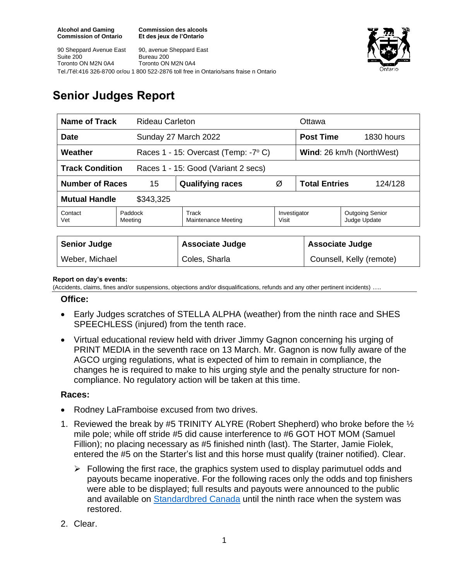**Commission des alcools Et des jeux de l'Ontario**





# **Senior Judges Report**

| <b>Name of Track</b><br><b>Rideau Carleton</b>                |                    |                                      |                       | Ottawa                           |                                        |
|---------------------------------------------------------------|--------------------|--------------------------------------|-----------------------|----------------------------------|----------------------------------------|
| <b>Date</b>                                                   |                    | Sunday 27 March 2022                 |                       | <b>Post Time</b>                 | 1830 hours                             |
| Weather                                                       |                    | Races 1 - 15: Overcast (Temp: -7° C) |                       | <b>Wind:</b> 26 km/h (NorthWest) |                                        |
| <b>Track Condition</b><br>Races 1 - 15: Good (Variant 2 secs) |                    |                                      |                       |                                  |                                        |
| <b>Number of Races</b><br>15                                  |                    | <b>Qualifying races</b>              | Ø                     | <b>Total Entries</b><br>124/128  |                                        |
| <b>Mutual Handle</b><br>\$343,325                             |                    |                                      |                       |                                  |                                        |
| Contact<br>Vet                                                | Paddock<br>Meeting | Track<br>Maintenance Meeting         | Investigator<br>Visit |                                  | <b>Outgoing Senior</b><br>Judge Update |
|                                                               |                    |                                      |                       |                                  |                                        |
| <b>Senior Judge</b>                                           |                    | <b>Associate Judge</b>               |                       | <b>Associate Judge</b>           |                                        |
| Weber, Michael                                                |                    | Coles, Sharla                        |                       | Counsell, Kelly (remote)         |                                        |

#### **Report on day's events:**

(Accidents, claims, fines and/or suspensions, objections and/or disqualifications, refunds and any other pertinent incidents) ….

#### **Office:**

- Early Judges scratches of STELLA ALPHA (weather) from the ninth race and SHES SPEECHLESS (injured) from the tenth race.
- Virtual educational review held with driver Jimmy Gagnon concerning his urging of PRINT MEDIA in the seventh race on 13 March. Mr. Gagnon is now fully aware of the AGCO urging regulations, what is expected of him to remain in compliance, the changes he is required to make to his urging style and the penalty structure for noncompliance. No regulatory action will be taken at this time.

### **Races:**

- Rodney LaFramboise excused from two drives.
- 1. Reviewed the break by #5 TRINITY ALYRE (Robert Shepherd) who broke before the  $\frac{1}{2}$ mile pole; while off stride #5 did cause interference to #6 GOT HOT MOM (Samuel Fillion); no placing necessary as #5 finished ninth (last). The Starter, Jamie Fiolek, entered the #5 on the Starter's list and this horse must qualify (trainer notified). Clear.
	- $\triangleright$  Following the first race, the graphics system used to display parimutuel odds and payouts became inoperative. For the following races only the odds and top finishers were able to be displayed; full results and payouts were announced to the public and available on [Standardbred Canada](https://standardbredcanada.ca/racing/results/data/r0327ridcfn.dat) until the ninth race when the system was restored.
- 2. Clear.